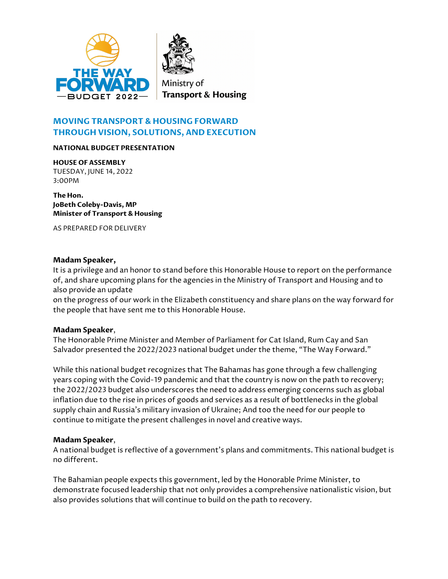



# **MOVING TRANSPORT & HOUSING FORWARD THROUGH VISION, SOLUTIONS, AND EXECUTION**

#### **NATIONAL BUDGET PRESENTATION**

**HOUSE OF ASSEMBLY** TUESDAY, JUNE 14, 2022 3:00PM

**The Hon. JoBeth Coleby-Davis, MP Minister of Transport & Housing**

AS PREPARED FOR DELIVERY

#### **Madam Speaker,**

It is a privilege and an honor to stand before this Honorable House to report on the performance of, and share upcoming plans for the agencies in the Ministry of Transport and Housing and to also provide an update

on the progress of our work in the Elizabeth constituency and share plans on the way forward for the people that have sent me to this Honorable House.

#### **Madam Speaker**,

The Honorable Prime Minister and Member of Parliament for Cat Island, Rum Cay and San Salvador presented the 2022/2023 national budget under the theme, "The Way Forward."

While this national budget recognizes that The Bahamas has gone through a few challenging years coping with the Covid-19 pandemic and that the country is now on the path to recovery; the 2022/2023 budget also underscores the need to address emerging concerns such as global inflation due to the rise in prices of goods and services as a result of bottlenecks in the global supply chain and Russia's military invasion of Ukraine; And too the need for our people to continue to mitigate the present challenges in novel and creative ways.

#### **Madam Speaker**,

A national budget is reflective of a government's plans and commitments. This national budget is no different.

The Bahamian people expects this government, led by the Honorable Prime Minister, to demonstrate focused leadership that not only provides a comprehensive nationalistic vision, but also provides solutions that will continue to build on the path to recovery.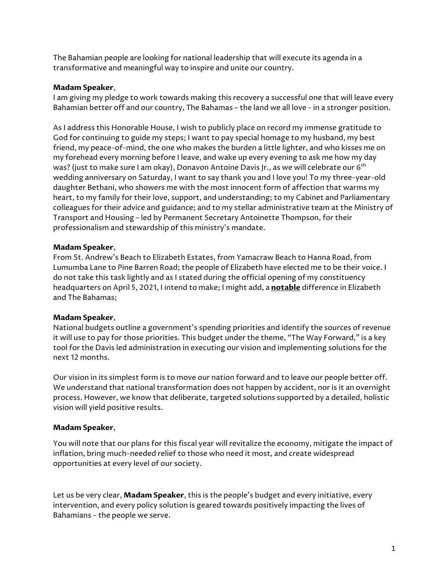The Bahamian people are looking for national leadership that will execute its agenda in a transformative and meaningful way to inspire and unite our country.

### **Madam Speaker**,

I am giving my pledge to work towards making this recovery a successful one that will leave every Bahamian better off and our country, The Bahamas – the land we all love - in a stronger position.

As I address this Honorable House, I wish to publicly place on record my immense gratitude to God for continuing to guide my steps; I want to pay special homage to my husband, my best friend, my peace-of-mind, the one who makes the burden a little lighter, and who kisses me on my forehead every morning before I leave, and wake up every evening to ask me how my day was? (just to make sure I am okay), Donavon Antoine Davis Jr., as we will celebrate our 6<sup>th</sup> wedding anniversary on Saturday, I want to say thank you and I love you! To my three-year-old daughter Bethani, who showers me with the most innocent form of affection that warms my heart, to my family for their love, support, and understanding; to my Cabinet and Parliamentary colleagues for their advice and guidance; and to my stellar administrative team at the Ministry of Transport and Housing – led by Permanent Secretary Antoinette Thompson, for their professionalism and stewardship of this ministry's mandate.

# **Madam Speaker**,

From St. Andrew's Beach to Elizabeth Estates, from Yamacraw Beach to Hanna Road, from Lumumba Lane to Pine Barren Road; the people of Elizabeth have elected me to be their voice. I do not take this task lightly and as I stated during the official opening of my constituency headquarters on April 5, 2021, I intend to make; I might add, a **notable** difference in Elizabeth and The Bahamas;

# **Madam Speaker**,

National budgets outline a government's spending priorities and identify the sources of revenue it will use to pay for those priorities. This budget under the theme, "The Way Forward," is a key tool for the Davis led administration in executing our vision and implementing solutions for the next 12 months.

Our vision in its simplest form is to move our nation forward and to leave our people better off. We understand that national transformation does not happen by accident, nor is it an overnight process. However, we know that deliberate, targeted solutions supported by a detailed, holistic vision will yield positive results.

# **Madam Speaker**,

You will note that our plans for this fiscal year will revitalize the economy, mitigate the impact of inflation, bring much-needed relief to those who need it most, and create widespread opportunities at every level of our society.

Let us be very clear, **Madam Speaker**, this is the people's budget and every initiative, every intervention, and every policy solution is geared towards positively impacting the lives of Bahamians – the people we serve.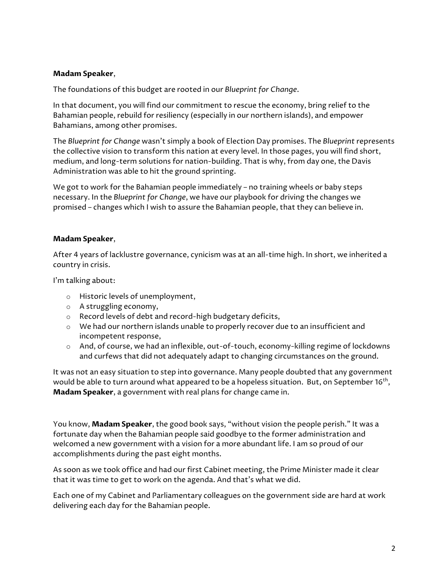The foundations of this budget are rooted in our *Blueprint for Change*.

In that document, you will find our commitment to rescue the economy, bring relief to the Bahamian people, rebuild for resiliency (especially in our northern islands), and empower Bahamians, among other promises.

The *Blueprint for Change* wasn't simply a book of Election Day promises. The *Blueprint* represents the collective vision to transform this nation at every level. In those pages, you will find short, medium, and long-term solutions for nation-building. That is why, from day one, the Davis Administration was able to hit the ground sprinting.

We got to work for the Bahamian people immediately – no training wheels or baby steps necessary. In the *Blueprint for Change*, we have our playbook for driving the changes we promised – changes which I wish to assure the Bahamian people, that they can believe in.

## **Madam Speaker**,

After 4 years of lacklustre governance, cynicism was at an all-time high. In short, we inherited a country in crisis.

I'm talking about:

- o Historic levels of unemployment,
- o A struggling economy,
- o Record levels of debt and record-high budgetary deficits,
- o We had our northern islands unable to properly recover due to an insufficient and incompetent response,
- o And, of course, we had an inflexible, out-of-touch, economy-killing regime of lockdowns and curfews that did not adequately adapt to changing circumstances on the ground.

It was not an easy situation to step into governance. Many people doubted that any government would be able to turn around what appeared to be a hopeless situation. But, on September 16<sup>th</sup>, **Madam Speaker**, a government with real plans for change came in.

You know, **Madam Speaker**, the good book says, "without vision the people perish." It was a fortunate day when the Bahamian people said goodbye to the former administration and welcomed a new government with a vision for a more abundant life. I am so proud of our accomplishments during the past eight months.

As soon as we took office and had our first Cabinet meeting, the Prime Minister made it clear that it was time to get to work on the agenda. And that's what we did.

Each one of my Cabinet and Parliamentary colleagues on the government side are hard at work delivering each day for the Bahamian people.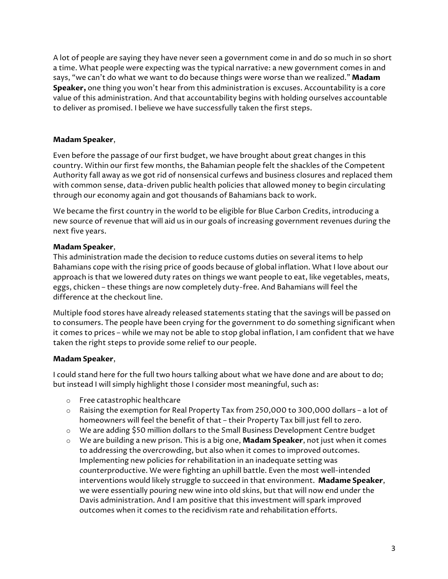A lot of people are saying they have never seen a government come in and do so much in so short a time. What people were expecting was the typical narrative: a new government comes in and says, "we can't do what we want to do because things were worse than we realized." **Madam Speaker,** one thing you won't hear from this administration is excuses. Accountability is a core value of this administration. And that accountability begins with holding ourselves accountable to deliver as promised. I believe we have successfully taken the first steps.

# **Madam Speaker**,

Even before the passage of our first budget, we have brought about great changes in this country. Within our first few months, the Bahamian people felt the shackles of the Competent Authority fall away as we got rid of nonsensical curfews and business closures and replaced them with common sense, data-driven public health policies that allowed money to begin circulating through our economy again and got thousands of Bahamians back to work.

We became the first country in the world to be eligible for Blue Carbon Credits, introducing a new source of revenue that will aid us in our goals of increasing government revenues during the next five years.

## **Madam Speaker**,

This administration made the decision to reduce customs duties on several items to help Bahamians cope with the rising price of goods because of global inflation. What I love about our approach is that we lowered duty rates on things we want people to eat, like vegetables, meats, eggs, chicken – these things are now completely duty-free. And Bahamians will feel the difference at the checkout line.

Multiple food stores have already released statements stating that the savings will be passed on to consumers. The people have been crying for the government to do something significant when it comes to prices – while we may not be able to stop global inflation, I am confident that we have taken the right steps to provide some relief to our people.

### **Madam Speaker**,

I could stand here for the full two hours talking about what we have done and are about to do; but instead I will simply highlight those I consider most meaningful, such as:

- o Free catastrophic healthcare
- o Raising the exemption for Real Property Tax from 250,000 to 300,000 dollars a lot of homeowners will feel the benefit of that – their Property Tax bill just fell to zero.
- o We are adding \$50 million dollars to the Small Business Development Centre budget
- o We are building a new prison. This is a big one, **Madam Speaker**, not just when it comes to addressing the overcrowding, but also when it comes to improved outcomes. Implementing new policies for rehabilitation in an inadequate setting was counterproductive. We were fighting an uphill battle. Even the most well-intended interventions would likely struggle to succeed in that environment. **Madame Speaker**, we were essentially pouring new wine into old skins, but that will now end under the Davis administration. And I am positive that this investment will spark improved outcomes when it comes to the recidivism rate and rehabilitation efforts.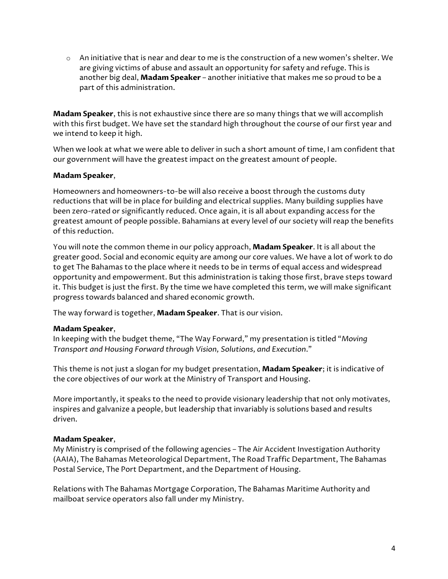$\circ$  An initiative that is near and dear to me is the construction of a new women's shelter. We are giving victims of abuse and assault an opportunity for safety and refuge. This is another big deal, **Madam Speaker** – another initiative that makes me so proud to be a part of this administration.

**Madam Speaker**, this is not exhaustive since there are so many things that we will accomplish with this first budget. We have set the standard high throughout the course of our first year and we intend to keep it high.

When we look at what we were able to deliver in such a short amount of time, I am confident that our government will have the greatest impact on the greatest amount of people.

### **Madam Speaker**,

Homeowners and homeowners-to-be will also receive a boost through the customs duty reductions that will be in place for building and electrical supplies. Many building supplies have been zero-rated or significantly reduced. Once again, it is all about expanding access for the greatest amount of people possible. Bahamians at every level of our society will reap the benefits of this reduction.

You will note the common theme in our policy approach, **Madam Speaker**. It is all about the greater good. Social and economic equity are among our core values. We have a lot of work to do to get The Bahamas to the place where it needs to be in terms of equal access and widespread opportunity and empowerment. But this administration is taking those first, brave steps toward it. This budget is just the first. By the time we have completed this term, we will make significant progress towards balanced and shared economic growth.

The way forward is together, **Madam Speaker**. That is our vision.

### **Madam Speaker**,

In keeping with the budget theme, "The Way Forward," my presentation is titled "*Moving Transport and Housing Forward through Vision, Solutions, and Execution*."

This theme is not just a slogan for my budget presentation, **Madam Speaker**; it is indicative of the core objectives of our work at the Ministry of Transport and Housing.

More importantly, it speaks to the need to provide visionary leadership that not only motivates, inspires and galvanize a people, but leadership that invariably is solutions based and results driven.

### **Madam Speaker**,

My Ministry is comprised of the following agencies – The Air Accident Investigation Authority (AAIA), The Bahamas Meteorological Department, The Road Traffic Department, The Bahamas Postal Service, The Port Department, and the Department of Housing.

Relations with The Bahamas Mortgage Corporation, The Bahamas Maritime Authority and mailboat service operators also fall under my Ministry.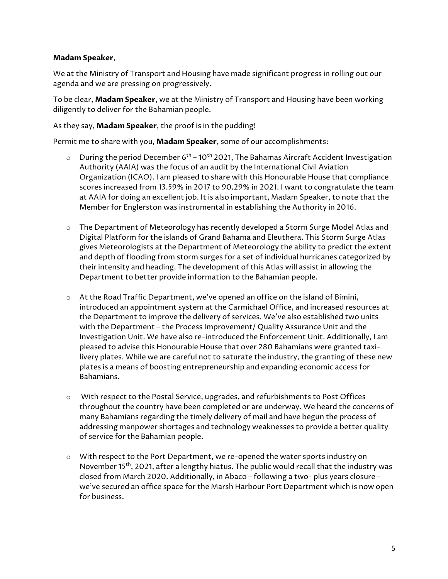We at the Ministry of Transport and Housing have made significant progress in rolling out our agenda and we are pressing on progressively.

To be clear, **Madam Speaker**, we at the Ministry of Transport and Housing have been working diligently to deliver for the Bahamian people.

### As they say, **Madam Speaker**, the proof is in the pudding!

Permit me to share with you, **Madam Speaker**, some of our accomplishments:

- $\circ$  During the period December 6<sup>th</sup> 10<sup>th</sup> 2021, The Bahamas Aircraft Accident Investigation Authority (AAIA) was the focus of an audit by the International Civil Aviation Organization (ICAO). I am pleased to share with this Honourable House that compliance scores increased from 13.59% in 2017 to 90.29% in 2021. I want to congratulate the team at AAIA for doing an excellent job. It is also important, Madam Speaker, to note that the Member for Englerston was instrumental in establishing the Authority in 2016.
- o The Department of Meteorology has recently developed a Storm Surge Model Atlas and Digital Platform for the islands of Grand Bahama and Eleuthera. This Storm Surge Atlas gives Meteorologists at the Department of Meteorology the ability to predict the extent and depth of flooding from storm surges for a set of individual hurricanes categorized by their intensity and heading. The development of this Atlas will assist in allowing the Department to better provide information to the Bahamian people.
- $\circ$  At the Road Traffic Department, we've opened an office on the island of Bimini, introduced an appointment system at the Carmichael Office, and increased resources at the Department to improve the delivery of services. We've also established two units with the Department – the Process Improvement/ Quality Assurance Unit and the Investigation Unit. We have also re-introduced the Enforcement Unit. Additionally, I am pleased to advise this Honourable House that over 280 Bahamians were granted taxilivery plates. While we are careful not to saturate the industry, the granting of these new plates is a means of boosting entrepreneurship and expanding economic access for Bahamians.
- o With respect to the Postal Service, upgrades, and refurbishments to Post Offices throughout the country have been completed or are underway. We heard the concerns of many Bahamians regarding the timely delivery of mail and have begun the process of addressing manpower shortages and technology weaknesses to provide a better quality of service for the Bahamian people.
- $\circ$  With respect to the Port Department, we re-opened the water sports industry on November 15<sup>th</sup>, 2021, after a lengthy hiatus. The public would recall that the industry was closed from March 2020. Additionally, in Abaco – following a two- plus years closure – we've secured an office space for the Marsh Harbour Port Department which is now open for business.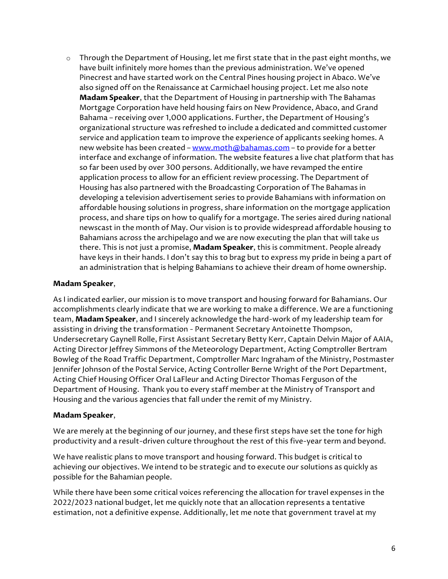o Through the Department of Housing, let me first state that in the past eight months, we have built infinitely more homes than the previous administration. We've opened Pinecrest and have started work on the Central Pines housing project in Abaco. We've also signed off on the Renaissance at Carmichael housing project. Let me also note **Madam Speaker**, that the Department of Housing in partnership with The Bahamas Mortgage Corporation have held housing fairs on New Providence, Abaco, and Grand Bahama – receiving over 1,000 applications. Further, the Department of Housing's organizational structure was refreshed to include a dedicated and committed customer service and application team to improve the experience of applicants seeking homes. A new website has been created - www.moth@bahamas.com - to provide for a better interface and exchange of information. The website features a live chat platform that has so far been used by over 300 persons. Additionally, we have revamped the entire application process to allow for an efficient review processing. The Department of Housing has also partnered with the Broadcasting Corporation of The Bahamas in developing a television advertisement series to provide Bahamians with information on affordable housing solutions in progress, share information on the mortgage application process, and share tips on how to qualify for a mortgage. The series aired during national newscast in the month of May. Our vision is to provide widespread affordable housing to Bahamians across the archipelago and we are now executing the plan that will take us there. This is not just a promise, **Madam Speaker**, this is commitment. People already have keys in their hands. I don't say this to brag but to express my pride in being a part of an administration that is helping Bahamians to achieve their dream of home ownership.

### **Madam Speaker**,

As I indicated earlier, our mission is to move transport and housing forward for Bahamians. Our accomplishments clearly indicate that we are working to make a difference. We are a functioning team, **Madam Speaker**, and I sincerely acknowledge the hard-work of my leadership team for assisting in driving the transformation - Permanent Secretary Antoinette Thompson, Undersecretary Gaynell Rolle, First Assistant Secretary Betty Kerr, Captain Delvin Major of AAIA, Acting Director Jeffrey Simmons of the Meteorology Department, Acting Comptroller Bertram Bowleg of the Road Traffic Department, Comptroller Marc Ingraham of the Ministry, Postmaster Jennifer Johnson of the Postal Service, Acting Controller Berne Wright of the Port Department, Acting Chief Housing Officer Oral LaFleur and Acting Director Thomas Ferguson of the Department of Housing. Thank you to every staff member at the Ministry of Transport and Housing and the various agencies that fall under the remit of my Ministry.

### **Madam Speaker**,

We are merely at the beginning of our journey, and these first steps have set the tone for high productivity and a result-driven culture throughout the rest of this five-year term and beyond.

We have realistic plans to move transport and housing forward. This budget is critical to achieving our objectives. We intend to be strategic and to execute our solutions as quickly as possible for the Bahamian people.

While there have been some critical voices referencing the allocation for travel expenses in the 2022/2023 national budget, let me quickly note that an allocation represents a tentative estimation, not a definitive expense. Additionally, let me note that government travel at my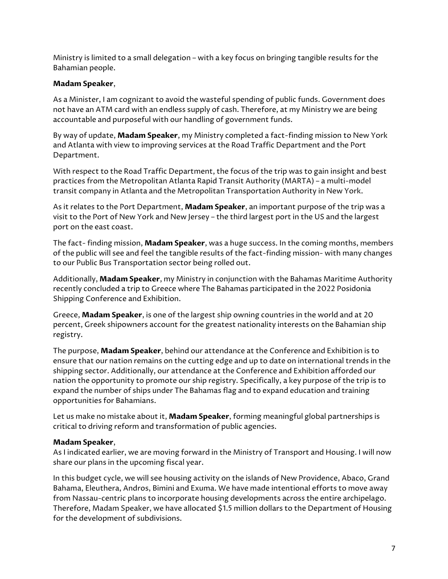Ministry is limited to a small delegation – with a key focus on bringing tangible results for the Bahamian people.

### **Madam Speaker**,

As a Minister, I am cognizant to avoid the wasteful spending of public funds. Government does not have an ATM card with an endless supply of cash. Therefore, at my Ministry we are being accountable and purposeful with our handling of government funds.

By way of update, **Madam Speaker**, my Ministry completed a fact-finding mission to New York and Atlanta with view to improving services at the Road Traffic Department and the Port Department.

With respect to the Road Traffic Department, the focus of the trip was to gain insight and best practices from the Metropolitan Atlanta Rapid Transit Authority (MARTA) – a multi-model transit company in Atlanta and the Metropolitan Transportation Authority in New York.

As it relates to the Port Department, **Madam Speaker**, an important purpose of the trip was a visit to the Port of New York and New Jersey – the third largest port in the US and the largest port on the east coast.

The fact- finding mission, **Madam Speaker**, was a huge success. In the coming months, members of the public will see and feel the tangible results of the fact-finding mission- with many changes to our Public Bus Transportation sector being rolled out.

Additionally, **Madam Speaker**, my Ministry in conjunction with the Bahamas Maritime Authority recently concluded a trip to Greece where The Bahamas participated in the 2022 Posidonia Shipping Conference and Exhibition.

Greece, **Madam Speaker**, is one of the largest ship owning countries in the world and at 20 percent, Greek shipowners account for the greatest nationality interests on the Bahamian ship registry.

The purpose, **Madam Speaker**, behind our attendance at the Conference and Exhibition is to ensure that our nation remains on the cutting edge and up to date on international trends in the shipping sector. Additionally, our attendance at the Conference and Exhibition afforded our nation the opportunity to promote our ship registry. Specifically, a key purpose of the trip is to expand the number of ships under The Bahamas flag and to expand education and training opportunities for Bahamians.

Let us make no mistake about it, **Madam Speaker**, forming meaningful global partnerships is critical to driving reform and transformation of public agencies.

### **Madam Speaker**,

As I indicated earlier, we are moving forward in the Ministry of Transport and Housing. I will now share our plans in the upcoming fiscal year.

In this budget cycle, we will see housing activity on the islands of New Providence, Abaco, Grand Bahama, Eleuthera, Andros, Bimini and Exuma. We have made intentional efforts to move away from Nassau-centric plans to incorporate housing developments across the entire archipelago. Therefore, Madam Speaker, we have allocated \$1.5 million dollars to the Department of Housing for the development of subdivisions.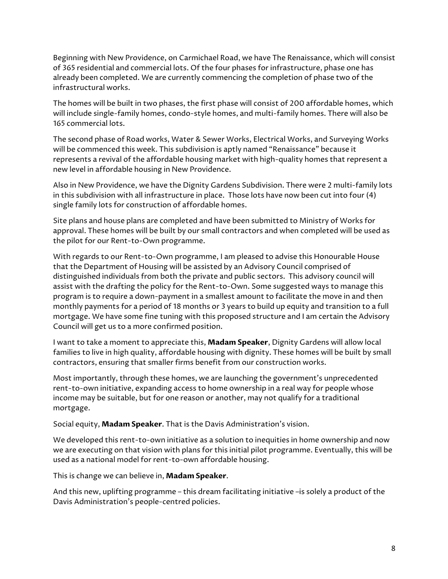Beginning with New Providence, on Carmichael Road, we have The Renaissance, which will consist of 365 residential and commercial lots. Of the four phases for infrastructure, phase one has already been completed. We are currently commencing the completion of phase two of the infrastructural works.

The homes will be built in two phases, the first phase will consist of 200 affordable homes, which will include single-family homes, condo-style homes, and multi-family homes. There will also be 165 commercial lots.

The second phase of Road works, Water & Sewer Works, Electrical Works, and Surveying Works will be commenced this week. This subdivision is aptly named "Renaissance" because it represents a revival of the affordable housing market with high-quality homes that represent a new level in affordable housing in New Providence.

Also in New Providence, we have the Dignity Gardens Subdivision. There were 2 multi-family lots in this subdivision with all infrastructure in place. Those lots have now been cut into four (4) single family lots for construction of affordable homes.

Site plans and house plans are completed and have been submitted to Ministry of Works for approval. These homes will be built by our small contractors and when completed will be used as the pilot for our Rent-to-Own programme.

With regards to our Rent-to-Own programme, I am pleased to advise this Honourable House that the Department of Housing will be assisted by an Advisory Council comprised of distinguished individuals from both the private and public sectors. This advisory council will assist with the drafting the policy for the Rent-to-Own. Some suggested ways to manage this program is to require a down-payment in a smallest amount to facilitate the move in and then monthly payments for a period of 18 months or 3 years to build up equity and transition to a full mortgage. We have some fine tuning with this proposed structure and I am certain the Advisory Council will get us to a more confirmed position.

I want to take a moment to appreciate this, **Madam Speaker**, Dignity Gardens will allow local families to live in high quality, affordable housing with dignity. These homes will be built by small contractors, ensuring that smaller firms benefit from our construction works.

Most importantly, through these homes, we are launching the government's unprecedented rent-to-own initiative, expanding access to home ownership in a real way for people whose income may be suitable, but for one reason or another, may not qualify for a traditional mortgage.

Social equity, **Madam Speaker**. That is the Davis Administration's vision.

We developed this rent-to-own initiative as a solution to inequities in home ownership and now we are executing on that vision with plans for this initial pilot programme. Eventually, this will be used as a national model for rent-to-own affordable housing.

This is change we can believe in, **Madam Speaker**.

And this new, uplifting programme – this dream facilitating initiative –is solely a product of the Davis Administration's people-centred policies.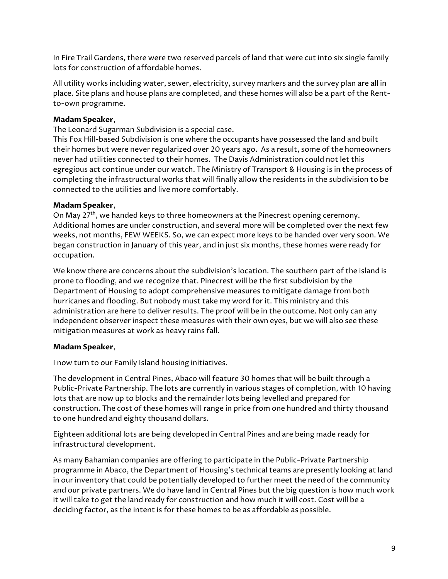In Fire Trail Gardens, there were two reserved parcels of land that were cut into six single family lots for construction of affordable homes.

All utility works including water, sewer, electricity, survey markers and the survey plan are all in place. Site plans and house plans are completed, and these homes will also be a part of the Rentto-own programme.

## **Madam Speaker**,

The Leonard Sugarman Subdivision is a special case.

This Fox Hill-based Subdivision is one where the occupants have possessed the land and built their homes but were never regularized over 20 years ago. As a result, some of the homeowners never had utilities connected to their homes. The Davis Administration could not let this egregious act continue under our watch. The Ministry of Transport & Housing is in the process of completing the infrastructural works that will finally allow the residents in the subdivision to be connected to the utilities and live more comfortably.

### **Madam Speaker**,

On May 27<sup>th</sup>, we handed keys to three homeowners at the Pinecrest opening ceremony. Additional homes are under construction, and several more will be completed over the next few weeks, not months, FEW WEEKS. So, we can expect more keys to be handed over very soon. We began construction in January of this year, and in just six months, these homes were ready for occupation.

We know there are concerns about the subdivision's location. The southern part of the island is prone to flooding, and we recognize that. Pinecrest will be the first subdivision by the Department of Housing to adopt comprehensive measures to mitigate damage from both hurricanes and flooding. But nobody must take my word for it. This ministry and this administration are here to deliver results. The proof will be in the outcome. Not only can any independent observer inspect these measures with their own eyes, but we will also see these mitigation measures at work as heavy rains fall.

### **Madam Speaker**,

I now turn to our Family Island housing initiatives.

The development in Central Pines, Abaco will feature 30 homes that will be built through a Public-Private Partnership. The lots are currently in various stages of completion, with 10 having lots that are now up to blocks and the remainder lots being levelled and prepared for construction. The cost of these homes will range in price from one hundred and thirty thousand to one hundred and eighty thousand dollars.

Eighteen additional lots are being developed in Central Pines and are being made ready for infrastructural development.

As many Bahamian companies are offering to participate in the Public-Private Partnership programme in Abaco, the Department of Housing's technical teams are presently looking at land in our inventory that could be potentially developed to further meet the need of the community and our private partners. We do have land in Central Pines but the big question is how much work it will take to get the land ready for construction and how much it will cost. Cost will be a deciding factor, as the intent is for these homes to be as affordable as possible.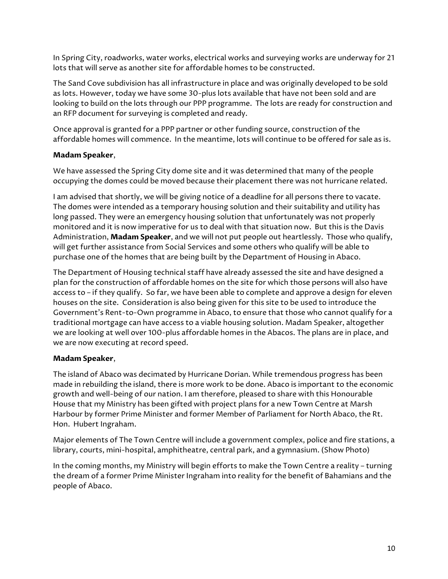In Spring City, roadworks, water works, electrical works and surveying works are underway for 21 lots that will serve as another site for affordable homes to be constructed.

The Sand Cove subdivision has all infrastructure in place and was originally developed to be sold as lots. However, today we have some 30-plus lots available that have not been sold and are looking to build on the lots through our PPP programme. The lots are ready for construction and an RFP document for surveying is completed and ready.

Once approval is granted for a PPP partner or other funding source, construction of the affordable homes will commence. In the meantime, lots will continue to be offered for sale as is.

### **Madam Speaker**,

We have assessed the Spring City dome site and it was determined that many of the people occupying the domes could be moved because their placement there was not hurricane related.

I am advised that shortly, we will be giving notice of a deadline for all persons there to vacate. The domes were intended as a temporary housing solution and their suitability and utility has long passed. They were an emergency housing solution that unfortunately was not properly monitored and it is now imperative for us to deal with that situation now. But this is the Davis Administration, **Madam Speaker**, and we will not put people out heartlessly. Those who qualify, will get further assistance from Social Services and some others who qualify will be able to purchase one of the homes that are being built by the Department of Housing in Abaco.

The Department of Housing technical staff have already assessed the site and have designed a plan for the construction of affordable homes on the site for which those persons will also have access to – if they qualify. So far, we have been able to complete and approve a design for eleven houses on the site. Consideration is also being given for this site to be used to introduce the Government's Rent-to-Own programme in Abaco, to ensure that those who cannot qualify for a traditional mortgage can have access to a viable housing solution. Madam Speaker, altogether we are looking at well over 100-plus affordable homes in the Abacos. The plans are in place, and we are now executing at record speed.

### **Madam Speaker**,

The island of Abaco was decimated by Hurricane Dorian. While tremendous progress has been made in rebuilding the island, there is more work to be done. Abaco is important to the economic growth and well-being of our nation. I am therefore, pleased to share with this Honourable House that my Ministry has been gifted with project plans for a new Town Centre at Marsh Harbour by former Prime Minister and former Member of Parliament for North Abaco, the Rt. Hon. Hubert Ingraham.

Major elements of The Town Centre will include a government complex, police and fire stations, a library, courts, mini-hospital, amphitheatre, central park, and a gymnasium. (Show Photo)

In the coming months, my Ministry will begin efforts to make the Town Centre a reality – turning the dream of a former Prime Minister Ingraham into reality for the benefit of Bahamians and the people of Abaco.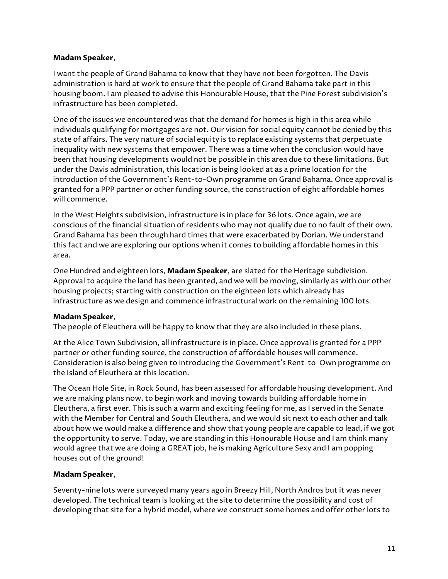I want the people of Grand Bahama to know that they have not been forgotten. The Davis administration is hard at work to ensure that the people of Grand Bahama take part in this housing boom. I am pleased to advise this Honourable House, that the Pine Forest subdivision's infrastructure has been completed.

One of the issues we encountered was that the demand for homes is high in this area while individuals qualifying for mortgages are not. Our vision for social equity cannot be denied by this state of affairs. The very nature of social equity is to replace existing systems that perpetuate inequality with new systems that empower. There was a time when the conclusion would have been that housing developments would not be possible in this area due to these limitations. But under the Davis administration, this location is being looked at as a prime location for the introduction of the Government's Rent-to-Own programme on Grand Bahama. Once approval is granted for a PPP partner or other funding source, the construction of eight affordable homes will commence.

In the West Heights subdivision, infrastructure is in place for 36 lots. Once again, we are conscious of the financial situation of residents who may not qualify due to no fault of their own. Grand Bahama has been through hard times that were exacerbated by Dorian. We understand this fact and we are exploring our options when it comes to building affordable homes in this area.

One Hundred and eighteen lots, **Madam Speaker**, are slated for the Heritage subdivision. Approval to acquire the land has been granted, and we will be moving, similarly as with our other housing projects; starting with construction on the eighteen lots which already has infrastructure as we design and commence infrastructural work on the remaining 100 lots.

### **Madam Speaker**,

The people of Eleuthera will be happy to know that they are also included in these plans.

At the Alice Town Subdivision, all infrastructure is in place. Once approval is granted for a PPP partner or other funding source, the construction of affordable houses will commence. Consideration is also being given to introducing the Government's Rent-to-Own programme on the Island of Eleuthera at this location.

The Ocean Hole Site, in Rock Sound, has been assessed for affordable housing development. And we are making plans now, to begin work and moving towards building affordable home in Eleuthera, a first ever. This is such a warm and exciting feeling for me, as I served in the Senate with the Member for Central and South Eleuthera, and we would sit next to each other and talk about how we would make a difference and show that young people are capable to lead, if we got the opportunity to serve. Today, we are standing in this Honourable House and I am think many would agree that we are doing a GREAT job, he is making Agriculture Sexy and I am popping houses out of the ground!

# **Madam Speaker**,

Seventy-nine lots were surveyed many years ago in Breezy Hill, North Andros but it was never developed. The technical team is looking at the site to determine the possibility and cost of developing that site for a hybrid model, where we construct some homes and offer other lots to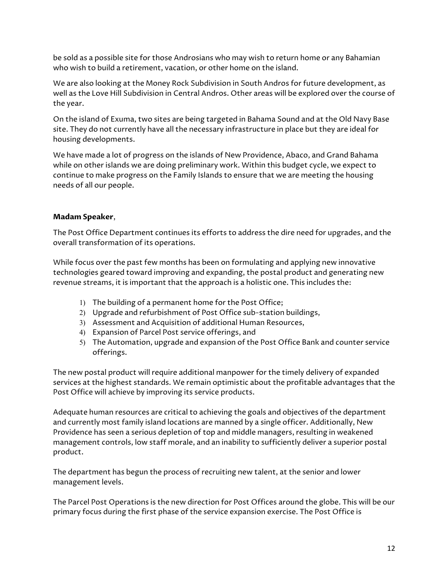be sold as a possible site for those Androsians who may wish to return home or any Bahamian who wish to build a retirement, vacation, or other home on the island.

We are also looking at the Money Rock Subdivision in South Andros for future development, as well as the Love Hill Subdivision in Central Andros. Other areas will be explored over the course of the year.

On the island of Exuma, two sites are being targeted in Bahama Sound and at the Old Navy Base site. They do not currently have all the necessary infrastructure in place but they are ideal for housing developments.

We have made a lot of progress on the islands of New Providence, Abaco, and Grand Bahama while on other islands we are doing preliminary work. Within this budget cycle, we expect to continue to make progress on the Family Islands to ensure that we are meeting the housing needs of all our people.

# **Madam Speaker**,

The Post Office Department continues its efforts to address the dire need for upgrades, and the overall transformation of its operations.

While focus over the past few months has been on formulating and applying new innovative technologies geared toward improving and expanding, the postal product and generating new revenue streams, it is important that the approach is a holistic one. This includes the:

- 1) The building of a permanent home for the Post Office;
- 2) Upgrade and refurbishment of Post Office sub-station buildings,
- 3) Assessment and Acquisition of additional Human Resources,
- 4) Expansion of Parcel Post service offerings, and
- 5) The Automation, upgrade and expansion of the Post Office Bank and counter service offerings.

The new postal product will require additional manpower for the timely delivery of expanded services at the highest standards. We remain optimistic about the profitable advantages that the Post Office will achieve by improving its service products.

Adequate human resources are critical to achieving the goals and objectives of the department and currently most family island locations are manned by a single officer. Additionally, New Providence has seen a serious depletion of top and middle managers, resulting in weakened management controls, low staff morale, and an inability to sufficiently deliver a superior postal product.

The department has begun the process of recruiting new talent, at the senior and lower management levels.

The Parcel Post Operations is the new direction for Post Offices around the globe. This will be our primary focus during the first phase of the service expansion exercise. The Post Office is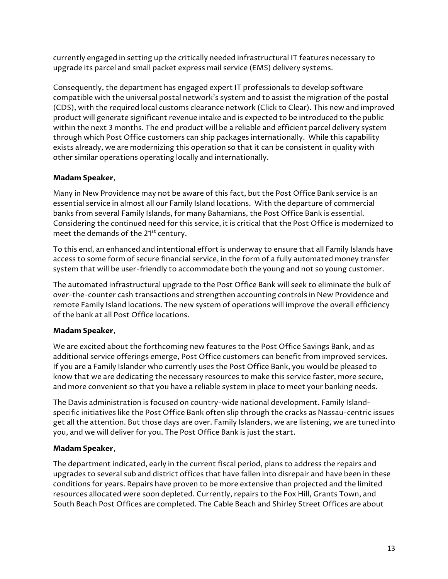currently engaged in setting up the critically needed infrastructural IT features necessary to upgrade its parcel and small packet express mail service (EMS) delivery systems.

Consequently, the department has engaged expert IT professionals to develop software compatible with the universal postal network's system and to assist the migration of the postal (CDS), with the required local customs clearance network (Click to Clear). This new and improved product will generate significant revenue intake and is expected to be introduced to the public within the next 3 months. The end product will be a reliable and efficient parcel delivery system through which Post Office customers can ship packages internationally. While this capability exists already, we are modernizing this operation so that it can be consistent in quality with other similar operations operating locally and internationally.

# **Madam Speaker**,

Many in New Providence may not be aware of this fact, but the Post Office Bank service is an essential service in almost all our Family Island locations. With the departure of commercial banks from several Family Islands, for many Bahamians, the Post Office Bank is essential. Considering the continued need for this service, it is critical that the Post Office is modernized to meet the demands of the 21<sup>st</sup> century.

To this end, an enhanced and intentional effort is underway to ensure that all Family Islands have access to some form of secure financial service, in the form of a fully automated money transfer system that will be user-friendly to accommodate both the young and not so young customer.

The automated infrastructural upgrade to the Post Office Bank will seek to eliminate the bulk of over-the-counter cash transactions and strengthen accounting controls in New Providence and remote Family Island locations. The new system of operations will improve the overall efficiency of the bank at all Post Office locations.

# **Madam Speaker**,

We are excited about the forthcoming new features to the Post Office Savings Bank, and as additional service offerings emerge, Post Office customers can benefit from improved services. If you are a Family Islander who currently uses the Post Office Bank, you would be pleased to know that we are dedicating the necessary resources to make this service faster, more secure, and more convenient so that you have a reliable system in place to meet your banking needs.

The Davis administration is focused on country-wide national development. Family Islandspecific initiatives like the Post Office Bank often slip through the cracks as Nassau-centric issues get all the attention. But those days are over. Family Islanders, we are listening, we are tuned into you, and we will deliver for you. The Post Office Bank is just the start.

# **Madam Speaker**,

The department indicated, early in the current fiscal period, plans to address the repairs and upgrades to several sub and district offices that have fallen into disrepair and have been in these conditions for years. Repairs have proven to be more extensive than projected and the limited resources allocated were soon depleted. Currently, repairs to the Fox Hill, Grants Town, and South Beach Post Offices are completed. The Cable Beach and Shirley Street Offices are about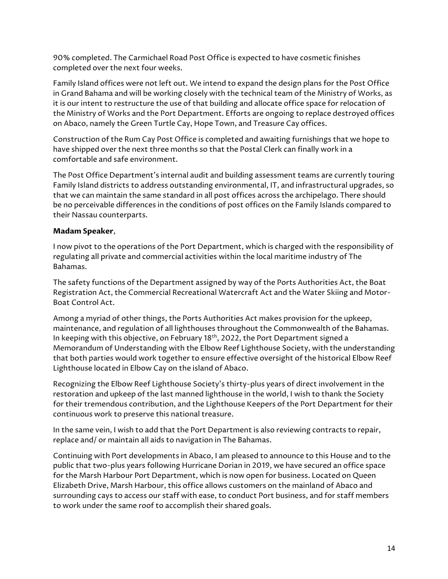90% completed. The Carmichael Road Post Office is expected to have cosmetic finishes completed over the next four weeks.

Family Island offices were not left out. We intend to expand the design plans for the Post Office in Grand Bahama and will be working closely with the technical team of the Ministry of Works, as it is our intent to restructure the use of that building and allocate office space for relocation of the Ministry of Works and the Port Department. Efforts are ongoing to replace destroyed offices on Abaco, namely the Green Turtle Cay, Hope Town, and Treasure Cay offices.

Construction of the Rum Cay Post Office is completed and awaiting furnishings that we hope to have shipped over the next three months so that the Postal Clerk can finally work in a comfortable and safe environment.

The Post Office Department's internal audit and building assessment teams are currently touring Family Island districts to address outstanding environmental, IT, and infrastructural upgrades, so that we can maintain the same standard in all post offices across the archipelago. There should be no perceivable differences in the conditions of post offices on the Family Islands compared to their Nassau counterparts.

## **Madam Speaker**,

I now pivot to the operations of the Port Department, which is charged with the responsibility of regulating all private and commercial activities within the local maritime industry of The Bahamas.

The safety functions of the Department assigned by way of the Ports Authorities Act, the Boat Registration Act, the Commercial Recreational Watercraft Act and the Water Skiing and Motor-Boat Control Act.

Among a myriad of other things, the Ports Authorities Act makes provision for the upkeep, maintenance, and regulation of all lighthouses throughout the Commonwealth of the Bahamas. In keeping with this objective, on February 18<sup>th</sup>, 2022, the Port Department signed a Memorandum of Understanding with the Elbow Reef Lighthouse Society, with the understanding that both parties would work together to ensure effective oversight of the historical Elbow Reef Lighthouse located in Elbow Cay on the island of Abaco.

Recognizing the Elbow Reef Lighthouse Society's thirty-plus years of direct involvement in the restoration and upkeep of the last manned lighthouse in the world, I wish to thank the Society for their tremendous contribution, and the Lighthouse Keepers of the Port Department for their continuous work to preserve this national treasure.

In the same vein, I wish to add that the Port Department is also reviewing contracts to repair, replace and/ or maintain all aids to navigation in The Bahamas.

Continuing with Port developments in Abaco, I am pleased to announce to this House and to the public that two-plus years following Hurricane Dorian in 2019, we have secured an office space for the Marsh Harbour Port Department, which is now open for business. Located on Queen Elizabeth Drive, Marsh Harbour, this office allows customers on the mainland of Abaco and surrounding cays to access our staff with ease, to conduct Port business, and for staff members to work under the same roof to accomplish their shared goals.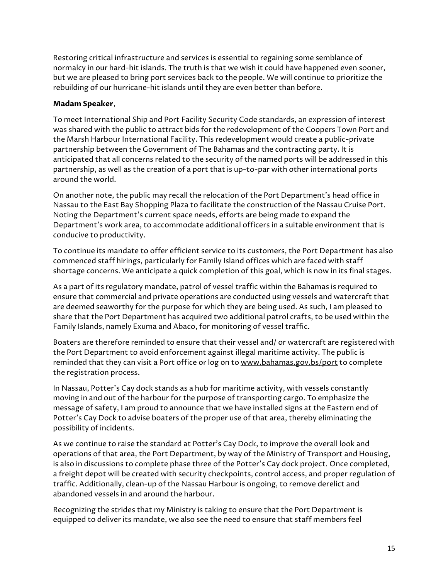Restoring critical infrastructure and services is essential to regaining some semblance of normalcy in our hard-hit islands. The truth is that we wish it could have happened even sooner, but we are pleased to bring port services back to the people. We will continue to prioritize the rebuilding of our hurricane-hit islands until they are even better than before.

# **Madam Speaker**,

To meet International Ship and Port Facility Security Code standards, an expression of interest was shared with the public to attract bids for the redevelopment of the Coopers Town Port and the Marsh Harbour International Facility. This redevelopment would create a public-private partnership between the Government of The Bahamas and the contracting party. It is anticipated that all concerns related to the security of the named ports will be addressed in this partnership, as well as the creation of a port that is up-to-par with other international ports around the world.

On another note, the public may recall the relocation of the Port Department's head office in Nassau to the East Bay Shopping Plaza to facilitate the construction of the Nassau Cruise Port. Noting the Department's current space needs, efforts are being made to expand the Department's work area, to accommodate additional officers in a suitable environment that is conducive to productivity.

To continue its mandate to offer efficient service to its customers, the Port Department has also commenced staff hirings, particularly for Family Island offices which are faced with staff shortage concerns. We anticipate a quick completion of this goal, which is now in its final stages.

As a part of its regulatory mandate, patrol of vessel traffic within the Bahamas is required to ensure that commercial and private operations are conducted using vessels and watercraft that are deemed seaworthy for the purpose for which they are being used. As such, I am pleased to share that the Port Department has acquired two additional patrol crafts, to be used within the Family Islands, namely Exuma and Abaco, for monitoring of vessel traffic.

Boaters are therefore reminded to ensure that their vessel and/ or watercraft are registered with the Port Department to avoid enforcement against illegal maritime activity. The public is reminded that they can visit a Port office or log on to www.bahamas.gov.bs/port to complete the registration process.

In Nassau, Potter's Cay dock stands as a hub for maritime activity, with vessels constantly moving in and out of the harbour for the purpose of transporting cargo. To emphasize the message of safety, I am proud to announce that we have installed signs at the Eastern end of Potter's Cay Dock to advise boaters of the proper use of that area, thereby eliminating the possibility of incidents.

As we continue to raise the standard at Potter's Cay Dock, to improve the overall look and operations of that area, the Port Department, by way of the Ministry of Transport and Housing, is also in discussions to complete phase three of the Potter's Cay dock project. Once completed, a freight depot will be created with security checkpoints, control access, and proper regulation of traffic. Additionally, clean-up of the Nassau Harbour is ongoing, to remove derelict and abandoned vessels in and around the harbour.

Recognizing the strides that my Ministry is taking to ensure that the Port Department is equipped to deliver its mandate, we also see the need to ensure that staff members feel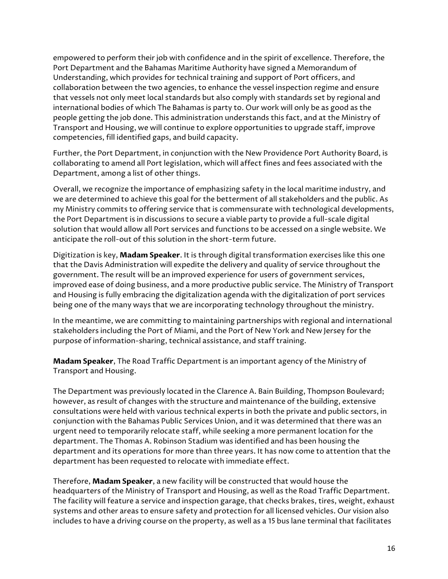empowered to perform their job with confidence and in the spirit of excellence. Therefore, the Port Department and the Bahamas Maritime Authority have signed a Memorandum of Understanding, which provides for technical training and support of Port officers, and collaboration between the two agencies, to enhance the vessel inspection regime and ensure that vessels not only meet local standards but also comply with standards set by regional and international bodies of which The Bahamas is party to. Our work will only be as good as the people getting the job done. This administration understands this fact, and at the Ministry of Transport and Housing, we will continue to explore opportunities to upgrade staff, improve competencies, fill identified gaps, and build capacity.

Further, the Port Department, in conjunction with the New Providence Port Authority Board, is collaborating to amend all Port legislation, which will affect fines and fees associated with the Department, among a list of other things.

Overall, we recognize the importance of emphasizing safety in the local maritime industry, and we are determined to achieve this goal for the betterment of all stakeholders and the public. As my Ministry commits to offering service that is commensurate with technological developments, the Port Department is in discussions to secure a viable party to provide a full-scale digital solution that would allow all Port services and functions to be accessed on a single website. We anticipate the roll-out of this solution in the short-term future.

Digitization is key, **Madam Speaker**. It is through digital transformation exercises like this one that the Davis Administration will expedite the delivery and quality of service throughout the government. The result will be an improved experience for users of government services, improved ease of doing business, and a more productive public service. The Ministry of Transport and Housing is fully embracing the digitalization agenda with the digitalization of port services being one of the many ways that we are incorporating technology throughout the ministry.

In the meantime, we are committing to maintaining partnerships with regional and international stakeholders including the Port of Miami, and the Port of New York and New Jersey for the purpose of information-sharing, technical assistance, and staff training.

**Madam Speaker**, The Road Traffic Department is an important agency of the Ministry of Transport and Housing.

The Department was previously located in the Clarence A. Bain Building, Thompson Boulevard; however, as result of changes with the structure and maintenance of the building, extensive consultations were held with various technical experts in both the private and public sectors, in conjunction with the Bahamas Public Services Union, and it was determined that there was an urgent need to temporarily relocate staff, while seeking a more permanent location for the department. The Thomas A. Robinson Stadium was identified and has been housing the department and its operations for more than three years. It has now come to attention that the department has been requested to relocate with immediate effect.

Therefore, **Madam Speaker**, a new facility will be constructed that would house the headquarters of the Ministry of Transport and Housing, as well as the Road Traffic Department. The facility will feature a service and inspection garage, that checks brakes, tires, weight, exhaust systems and other areas to ensure safety and protection for all licensed vehicles. Our vision also includes to have a driving course on the property, as well as a 15 bus lane terminal that facilitates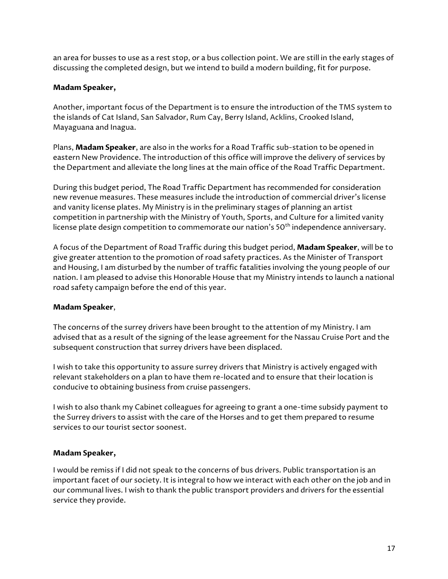an area for busses to use as a rest stop, or a bus collection point. We are still in the early stages of discussing the completed design, but we intend to build a modern building, fit for purpose.

# **Madam Speaker,**

Another, important focus of the Department is to ensure the introduction of the TMS system to the islands of Cat Island, San Salvador, Rum Cay, Berry Island, Acklins, Crooked Island, Mayaguana and Inagua.

Plans, **Madam Speaker**, are also in the works for a Road Traffic sub-station to be opened in eastern New Providence. The introduction of this office will improve the delivery of services by the Department and alleviate the long lines at the main office of the Road Traffic Department.

During this budget period, The Road Traffic Department has recommended for consideration new revenue measures. These measures include the introduction of commercial driver's license and vanity license plates. My Ministry is in the preliminary stages of planning an artist competition in partnership with the Ministry of Youth, Sports, and Culture for a limited vanity license plate design competition to commemorate our nation's 50<sup>th</sup> independence anniversary.

A focus of the Department of Road Traffic during this budget period, **Madam Speaker**, will be to give greater attention to the promotion of road safety practices. As the Minister of Transport and Housing, I am disturbed by the number of traffic fatalities involving the young people of our nation. I am pleased to advise this Honorable House that my Ministry intends to launch a national road safety campaign before the end of this year.

### **Madam Speaker**,

The concerns of the surrey drivers have been brought to the attention of my Ministry. I am advised that as a result of the signing of the lease agreement for the Nassau Cruise Port and the subsequent construction that surrey drivers have been displaced.

I wish to take this opportunity to assure surrey drivers that Ministry is actively engaged with relevant stakeholders on a plan to have them re-located and to ensure that their location is conducive to obtaining business from cruise passengers.

I wish to also thank my Cabinet colleagues for agreeing to grant a one-time subsidy payment to the Surrey drivers to assist with the care of the Horses and to get them prepared to resume services to our tourist sector soonest.

### **Madam Speaker,**

I would be remiss if I did not speak to the concerns of bus drivers. Public transportation is an important facet of our society. It is integral to how we interact with each other on the job and in our communal lives. I wish to thank the public transport providers and drivers for the essential service they provide.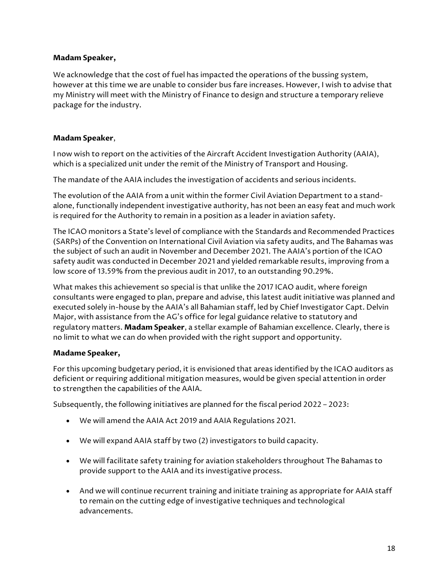We acknowledge that the cost of fuel has impacted the operations of the bussing system, however at this time we are unable to consider bus fare increases. However, I wish to advise that my Ministry will meet with the Ministry of Finance to design and structure a temporary relieve package for the industry.

# **Madam Speaker**,

I now wish to report on the activities of the Aircraft Accident Investigation Authority (AAIA), which is a specialized unit under the remit of the Ministry of Transport and Housing.

The mandate of the AAIA includes the investigation of accidents and serious incidents.

The evolution of the AAIA from a unit within the former Civil Aviation Department to a standalone, functionally independent investigative authority, has not been an easy feat and much work is required for the Authority to remain in a position as a leader in aviation safety.

The ICAO monitors a State's level of compliance with the Standards and Recommended Practices (SARPs) of the Convention on International Civil Aviation via safety audits, and The Bahamas was the subject of such an audit in November and December 2021. The AAIA's portion of the ICAO safety audit was conducted in December 2021 and yielded remarkable results, improving from a low score of 13.59% from the previous audit in 2017, to an outstanding 90.29%.

What makes this achievement so special is that unlike the 2017 ICAO audit, where foreign consultants were engaged to plan, prepare and advise, this latest audit initiative was planned and executed solely in-house by the AAIA's all Bahamian staff, led by Chief Investigator Capt. Delvin Major, with assistance from the AG's office for legal guidance relative to statutory and regulatory matters. **Madam Speaker**, a stellar example of Bahamian excellence. Clearly, there is no limit to what we can do when provided with the right support and opportunity.

### **Madame Speaker,**

For this upcoming budgetary period, it is envisioned that areas identified by the ICAO auditors as deficient or requiring additional mitigation measures, would be given special attention in order to strengthen the capabilities of the AAIA.

Subsequently, the following initiatives are planned for the fiscal period 2022 – 2023:

- We will amend the AAIA Act 2019 and AAIA Regulations 2021.
- We will expand AAIA staff by two (2) investigators to build capacity.
- We will facilitate safety training for aviation stakeholders throughout The Bahamas to provide support to the AAIA and its investigative process.
- And we will continue recurrent training and initiate training as appropriate for AAIA staff to remain on the cutting edge of investigative techniques and technological advancements.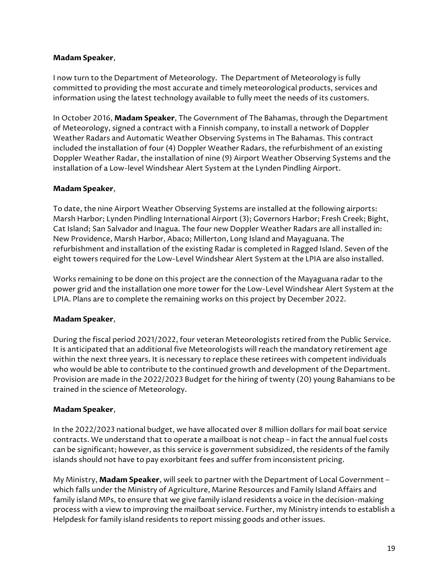I now turn to the Department of Meteorology. The Department of Meteorology is fully committed to providing the most accurate and timely meteorological products, services and information using the latest technology available to fully meet the needs of its customers.

In October 2016, **Madam Speaker**, The Government of The Bahamas, through the Department of Meteorology, signed a contract with a Finnish company, to install a network of Doppler Weather Radars and Automatic Weather Observing Systems in The Bahamas. This contract included the installation of four (4) Doppler Weather Radars, the refurbishment of an existing Doppler Weather Radar, the installation of nine (9) Airport Weather Observing Systems and the installation of a Low-level Windshear Alert System at the Lynden Pindling Airport.

## **Madam Speaker**,

To date, the nine Airport Weather Observing Systems are installed at the following airports: Marsh Harbor; Lynden Pindling International Airport (3); Governors Harbor; Fresh Creek; Bight, Cat Island; San Salvador and Inagua. The four new Doppler Weather Radars are all installed in: New Providence, Marsh Harbor, Abaco; Millerton, Long Island and Mayaguana. The refurbishment and installation of the existing Radar is completed in Ragged Island. Seven of the eight towers required for the Low-Level Windshear Alert System at the LPIA are also installed.

Works remaining to be done on this project are the connection of the Mayaguana radar to the power grid and the installation one more tower for the Low-Level Windshear Alert System at the LPIA. Plans are to complete the remaining works on this project by December 2022.

# **Madam Speaker**,

During the fiscal period 2021/2022, four veteran Meteorologists retired from the Public Service. It is anticipated that an additional five Meteorologists will reach the mandatory retirement age within the next three years. It is necessary to replace these retirees with competent individuals who would be able to contribute to the continued growth and development of the Department. Provision are made in the 2022/2023 Budget for the hiring of twenty (20) young Bahamians to be trained in the science of Meteorology.

# **Madam Speaker**,

In the 2022/2023 national budget, we have allocated over 8 million dollars for mail boat service contracts. We understand that to operate a mailboat is not cheap – in fact the annual fuel costs can be significant; however, as this service is government subsidized, the residents of the family islands should not have to pay exorbitant fees and suffer from inconsistent pricing.

My Ministry, **Madam Speaker**, will seek to partner with the Department of Local Government – which falls under the Ministry of Agriculture, Marine Resources and Family Island Affairs and family island MPs, to ensure that we give family island residents a voice in the decision-making process with a view to improving the mailboat service. Further, my Ministry intends to establish a Helpdesk for family island residents to report missing goods and other issues.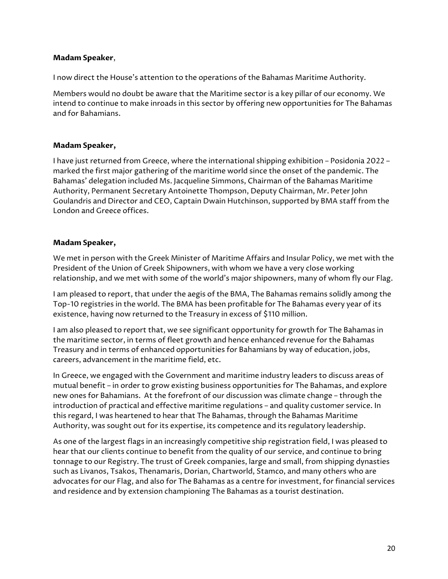I now direct the House's attention to the operations of the Bahamas Maritime Authority.

Members would no doubt be aware that the Maritime sector is a key pillar of our economy. We intend to continue to make inroads in this sector by offering new opportunities for The Bahamas and for Bahamians.

#### **Madam Speaker,**

I have just returned from Greece, where the international shipping exhibition – Posidonia 2022 – marked the first major gathering of the maritime world since the onset of the pandemic. The Bahamas' delegation included Ms. Jacqueline Simmons, Chairman of the Bahamas Maritime Authority, Permanent Secretary Antoinette Thompson, Deputy Chairman, Mr. Peter John Goulandris and Director and CEO, Captain Dwain Hutchinson, supported by BMA staff from the London and Greece offices.

#### **Madam Speaker,**

We met in person with the Greek Minister of Maritime Affairs and Insular Policy, we met with the President of the Union of Greek Shipowners, with whom we have a very close working relationship, and we met with some of the world's major shipowners, many of whom fly our Flag.

I am pleased to report, that under the aegis of the BMA, The Bahamas remains solidly among the Top-10 registries in the world. The BMA has been profitable for The Bahamas every year of its existence, having now returned to the Treasury in excess of \$110 million.

I am also pleased to report that, we see significant opportunity for growth for The Bahamas in the maritime sector, in terms of fleet growth and hence enhanced revenue for the Bahamas Treasury and in terms of enhanced opportunities for Bahamians by way of education, jobs, careers, advancement in the maritime field, etc.

In Greece, we engaged with the Government and maritime industry leaders to discuss areas of mutual benefit – in order to grow existing business opportunities for The Bahamas, and explore new ones for Bahamians. At the forefront of our discussion was climate change – through the introduction of practical and effective maritime regulations – and quality customer service. In this regard, I was heartened to hear that The Bahamas, through the Bahamas Maritime Authority, was sought out for its expertise, its competence and its regulatory leadership.

As one of the largest flags in an increasingly competitive ship registration field, I was pleased to hear that our clients continue to benefit from the quality of our service, and continue to bring tonnage to our Registry. The trust of Greek companies, large and small, from shipping dynasties such as Livanos, Tsakos, Thenamaris, Dorian, Chartworld, Stamco, and many others who are advocates for our Flag, and also for The Bahamas as a centre for investment, for financial services and residence and by extension championing The Bahamas as a tourist destination.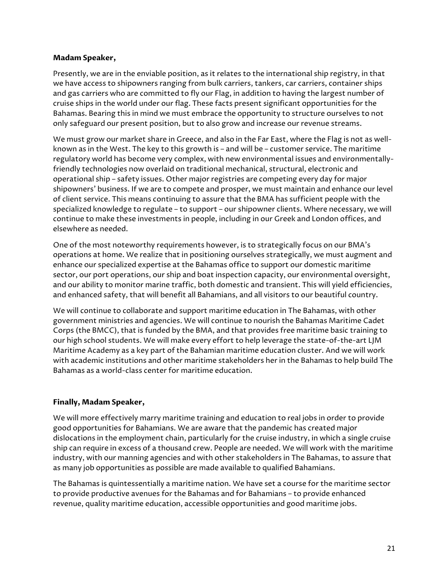Presently, we are in the enviable position, as it relates to the international ship registry, in that we have access to shipowners ranging from bulk carriers, tankers, car carriers, container ships and gas carriers who are committed to fly our Flag, in addition to having the largest number of cruise ships in the world under our flag. These facts present significant opportunities for the Bahamas. Bearing this in mind we must embrace the opportunity to structure ourselves to not only safeguard our present position, but to also grow and increase our revenue streams.

We must grow our market share in Greece, and also in the Far East, where the Flag is not as wellknown as in the West. The key to this growth is – and will be – customer service. The maritime regulatory world has become very complex, with new environmental issues and environmentallyfriendly technologies now overlaid on traditional mechanical, structural, electronic and operational ship – safety issues. Other major registries are competing every day for major shipowners' business. If we are to compete and prosper, we must maintain and enhance our level of client service. This means continuing to assure that the BMA has sufficient people with the specialized knowledge to regulate – to support – our shipowner clients. Where necessary, we will continue to make these investments in people, including in our Greek and London offices, and elsewhere as needed.

One of the most noteworthy requirements however, is to strategically focus on our BMA's operations at home. We realize that in positioning ourselves strategically, we must augment and enhance our specialized expertise at the Bahamas office to support our domestic maritime sector, our port operations, our ship and boat inspection capacity, our environmental oversight, and our ability to monitor marine traffic, both domestic and transient. This will yield efficiencies, and enhanced safety, that will benefit all Bahamians, and all visitors to our beautiful country.

We will continue to collaborate and support maritime education in The Bahamas, with other government ministries and agencies. We will continue to nourish the Bahamas Maritime Cadet Corps (the BMCC), that is funded by the BMA, and that provides free maritime basic training to our high school students. We will make every effort to help leverage the state-of-the-art LJM Maritime Academy as a key part of the Bahamian maritime education cluster. And we will work with academic institutions and other maritime stakeholders her in the Bahamas to help build The Bahamas as a world-class center for maritime education.

### **Finally, Madam Speaker,**

We will more effectively marry maritime training and education to real jobs in order to provide good opportunities for Bahamians. We are aware that the pandemic has created major dislocations in the employment chain, particularly for the cruise industry, in which a single cruise ship can require in excess of a thousand crew. People are needed. We will work with the maritime industry, with our manning agencies and with other stakeholders in The Bahamas, to assure that as many job opportunities as possible are made available to qualified Bahamians.

The Bahamas is quintessentially a maritime nation. We have set a course for the maritime sector to provide productive avenues for the Bahamas and for Bahamians – to provide enhanced revenue, quality maritime education, accessible opportunities and good maritime jobs.